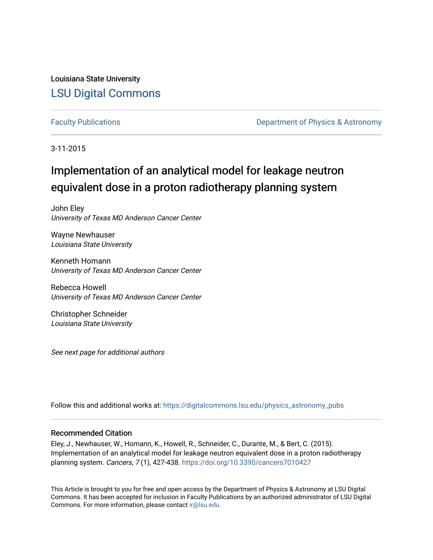Louisiana State University [LSU Digital Commons](https://digitalcommons.lsu.edu/)

[Faculty Publications](https://digitalcommons.lsu.edu/physics_astronomy_pubs) **Exercise 2 and Table 2 and Table 2 and Table 2 and Table 2 and Table 2 and Table 2 and Table 2 and Table 2 and Table 2 and Table 2 and Table 2 and Table 2 and Table 2 and Table 2 and Table 2 and Table** 

3-11-2015

# Implementation of an analytical model for leakage neutron equivalent dose in a proton radiotherapy planning system

John Eley University of Texas MD Anderson Cancer Center

Wayne Newhauser Louisiana State University

Kenneth Homann University of Texas MD Anderson Cancer Center

Rebecca Howell University of Texas MD Anderson Cancer Center

Christopher Schneider Louisiana State University

See next page for additional authors

Follow this and additional works at: [https://digitalcommons.lsu.edu/physics\\_astronomy\\_pubs](https://digitalcommons.lsu.edu/physics_astronomy_pubs?utm_source=digitalcommons.lsu.edu%2Fphysics_astronomy_pubs%2F3685&utm_medium=PDF&utm_campaign=PDFCoverPages) 

#### Recommended Citation

Eley, J., Newhauser, W., Homann, K., Howell, R., Schneider, C., Durante, M., & Bert, C. (2015). Implementation of an analytical model for leakage neutron equivalent dose in a proton radiotherapy planning system. Cancers, 7 (1), 427-438. <https://doi.org/10.3390/cancers7010427>

This Article is brought to you for free and open access by the Department of Physics & Astronomy at LSU Digital Commons. It has been accepted for inclusion in Faculty Publications by an authorized administrator of LSU Digital Commons. For more information, please contact [ir@lsu.edu](mailto:ir@lsu.edu).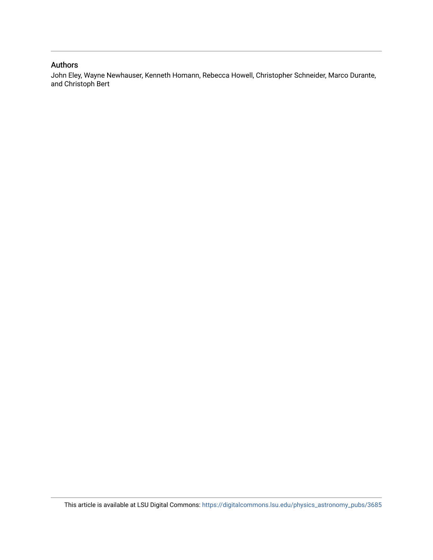### Authors

John Eley, Wayne Newhauser, Kenneth Homann, Rebecca Howell, Christopher Schneider, Marco Durante, and Christoph Bert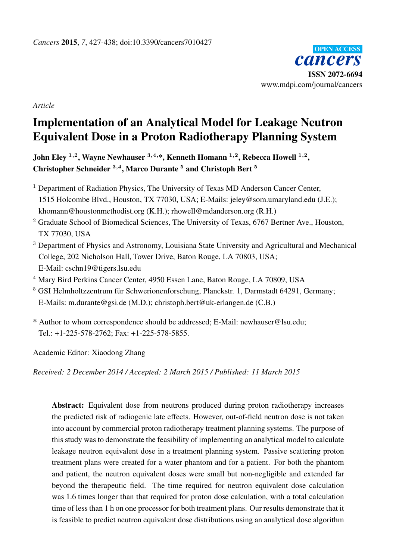

*Article*

# Implementation of an Analytical Model for Leakage Neutron Equivalent Dose in a Proton Radiotherapy Planning System

John Eley <sup>1,2</sup>, Wayne Newhauser  $^{3,4,\ast},$  Kenneth Homann  $^{1,2},$  Rebecca Howell  $^{1,2},$ Christopher Schneider <sup>3,4</sup>, Marco Durante <sup>5</sup> and Christoph Bert <sup>5</sup>

- <sup>1</sup> Department of Radiation Physics, The University of Texas MD Anderson Cancer Center, 1515 Holcombe Blvd., Houston, TX 77030, USA; E-Mails: jeley@som.umaryland.edu (J.E.); khomann@houstonmethodist.org (K.H.); rhowell@mdanderson.org (R.H.)
- $2$  Graduate School of Biomedical Sciences, The University of Texas, 6767 Bertner Ave., Houston, TX 77030, USA
- <sup>3</sup> Department of Physics and Astronomy, Louisiana State University and Agricultural and Mechanical College, 202 Nicholson Hall, Tower Drive, Baton Rouge, LA 70803, USA; E-Mail: cschn19@tigers.lsu.edu
- <sup>4</sup> Mary Bird Perkins Cancer Center, 4950 Essen Lane, Baton Rouge, LA 70809, USA
- <sup>5</sup> GSI Helmholtzzentrum für Schwerionenforschung, Planckstr. 1, Darmstadt 64291, Germany; E-Mails: m.durante@gsi.de (M.D.); christoph.bert@uk-erlangen.de (C.B.)
- \* Author to whom correspondence should be addressed; E-Mail: newhauser@lsu.edu; Tel.: +1-225-578-2762; Fax: +1-225-578-5855.

Academic Editor: Xiaodong Zhang

*Received: 2 December 2014 / Accepted: 2 March 2015 / Published: 11 March 2015*

Abstract: Equivalent dose from neutrons produced during proton radiotherapy increases the predicted risk of radiogenic late effects. However, out-of-field neutron dose is not taken into account by commercial proton radiotherapy treatment planning systems. The purpose of this study was to demonstrate the feasibility of implementing an analytical model to calculate leakage neutron equivalent dose in a treatment planning system. Passive scattering proton treatment plans were created for a water phantom and for a patient. For both the phantom and patient, the neutron equivalent doses were small but non-negligible and extended far beyond the therapeutic field. The time required for neutron equivalent dose calculation was 1.6 times longer than that required for proton dose calculation, with a total calculation time of less than 1 h on one processor for both treatment plans. Our results demonstrate that it is feasible to predict neutron equivalent dose distributions using an analytical dose algorithm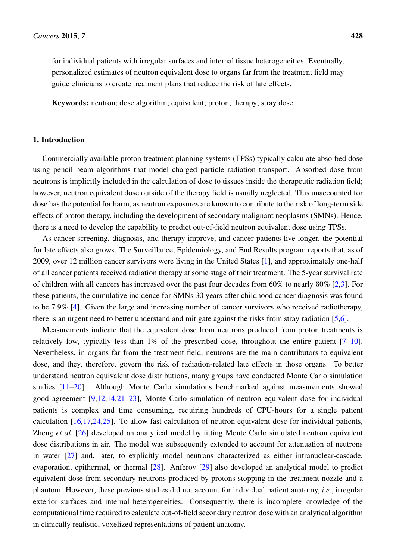for individual patients with irregular surfaces and internal tissue heterogeneities. Eventually, personalized estimates of neutron equivalent dose to organs far from the treatment field may guide clinicians to create treatment plans that reduce the risk of late effects.

Keywords: neutron; dose algorithm; equivalent; proton; therapy; stray dose

#### 1. Introduction

Commercially available proton treatment planning systems (TPSs) typically calculate absorbed dose using pencil beam algorithms that model charged particle radiation transport. Absorbed dose from neutrons is implicitly included in the calculation of dose to tissues inside the therapeutic radiation field; however, neutron equivalent dose outside of the therapy field is usually neglected. This unaccounted for dose has the potential for harm, as neutron exposures are known to contribute to the risk of long-term side effects of proton therapy, including the development of secondary malignant neoplasms (SMNs). Hence, there is a need to develop the capability to predict out-of-field neutron equivalent dose using TPSs.

As cancer screening, diagnosis, and therapy improve, and cancer patients live longer, the potential for late effects also grows. The Surveillance, Epidemiology, and End Results program reports that, as of 2009, over 12 million cancer survivors were living in the United States [\[1\]](#page-11-0), and approximately one-half of all cancer patients received radiation therapy at some stage of their treatment. The 5-year survival rate of children with all cancers has increased over the past four decades from 60% to nearly 80% [\[2](#page-11-1)[,3\]](#page-11-2). For these patients, the cumulative incidence for SMNs 30 years after childhood cancer diagnosis was found to be 7.9% [\[4\]](#page-11-3). Given the large and increasing number of cancer survivors who received radiotherapy, there is an urgent need to better understand and mitigate against the risks from stray radiation [\[5,](#page-11-4)[6\]](#page-11-5).

Measurements indicate that the equivalent dose from neutrons produced from proton treatments is relatively low, typically less than  $1\%$  of the prescribed dose, throughout the entire patient  $[7-10]$  $[7-10]$ . Nevertheless, in organs far from the treatment field, neutrons are the main contributors to equivalent dose, and they, therefore, govern the risk of radiation-related late effects in those organs. To better understand neutron equivalent dose distributions, many groups have conducted Monte Carlo simulation studies [\[11–](#page-11-8)[20\]](#page-12-0). Although Monte Carlo simulations benchmarked against measurements showed good agreement [\[9](#page-11-9)[,12](#page-12-1)[,14](#page-12-2)[,21–](#page-12-3)[23\]](#page-12-4), Monte Carlo simulation of neutron equivalent dose for individual patients is complex and time consuming, requiring hundreds of CPU-hours for a single patient calculation [\[16,](#page-12-5)[17,](#page-12-6)[24,](#page-12-7)[25\]](#page-12-8). To allow fast calculation of neutron equivalent dose for individual patients, Zheng *et al.* [\[26\]](#page-13-0) developed an analytical model by fitting Monte Carlo simulated neutron equivalent dose distributions in air. The model was subsequently extended to account for attenuation of neutrons in water [\[27\]](#page-13-1) and, later, to explicitly model neutrons characterized as either intranuclear-cascade, evaporation, epithermal, or thermal [\[28\]](#page-13-2). Anferov [\[29\]](#page-13-3) also developed an analytical model to predict equivalent dose from secondary neutrons produced by protons stopping in the treatment nozzle and a phantom. However, these previous studies did not account for individual patient anatomy, *i.e.*, irregular exterior surfaces and internal heterogeneities. Consequently, there is incomplete knowledge of the computational time required to calculate out-of-field secondary neutron dose with an analytical algorithm in clinically realistic, voxelized representations of patient anatomy.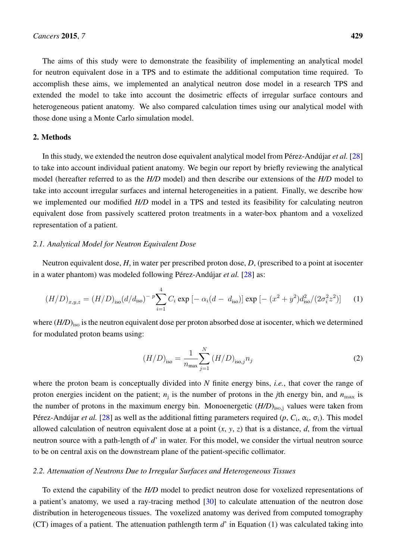The aims of this study were to demonstrate the feasibility of implementing an analytical model for neutron equivalent dose in a TPS and to estimate the additional computation time required. To accomplish these aims, we implemented an analytical neutron dose model in a research TPS and extended the model to take into account the dosimetric effects of irregular surface contours and heterogeneous patient anatomy. We also compared calculation times using our analytical model with those done using a Monte Carlo simulation model.

#### 2. Methods

In this study, we extended the neutron dose equivalent analytical model from Pérez-Andújar *et al.* [\[28\]](#page-13-2) to take into account individual patient anatomy. We begin our report by briefly reviewing the analytical model (hereafter referred to as the *H/D* model) and then describe our extensions of the *H/D* model to take into account irregular surfaces and internal heterogeneities in a patient. Finally, we describe how we implemented our modified *H/D* model in a TPS and tested its feasibility for calculating neutron equivalent dose from passively scattered proton treatments in a water-box phantom and a voxelized representation of a patient.

### *2.1. Analytical Model for Neutron Equivalent Dose*

Neutron equivalent dose, *H*, in water per prescribed proton dose, *D*, (prescribed to a point at isocenter in a water phantom) was modeled following Pérez-Andújar *et al.* [\[28\]](#page-13-2) as:

$$
(H/D)_{x,y,z} = (H/D)_{\text{iso}} (d/d_{\text{iso}})^{-p} \sum_{i=1}^{4} C_i \exp \left[ -\alpha_i (d - d_{\text{iso}}) \right] \exp \left[ -\left( x^2 + y^2 \right) d_{\text{iso}}^2 / (2\sigma_i^2 z^2) \right] \tag{1}
$$

where (*H/D*)<sub>iso</sub> is the neutron equivalent dose per proton absorbed dose at isocenter, which we determined for modulated proton beams using:

$$
(H/D)_{\text{iso}} = \frac{1}{n_{\text{max}}} \sum_{j=1}^{N} (H/D)_{\text{iso},j} n_j
$$
 (2)

where the proton beam is conceptually divided into *N* finite energy bins, *i.e.*, that cover the range of proton energies incident on the patient;  $n_j$  is the number of protons in the *j*th energy bin, and  $n_{\text{max}}$  is the number of protons in the maximum energy bin. Monoenergetic  $(H/D)_{iso,j}$  values were taken from Pérez-Andújar *et al.* [\[28\]](#page-13-2) as well as the additional fitting parameters required  $(p, C_i, \alpha_i, \sigma_i)$ . This model allowed calculation of neutron equivalent dose at a point  $(x, y, z)$  that is a distance, *d*, from the virtual neutron source with a path-length of *d*' in water. For this model, we consider the virtual neutron source to be on central axis on the downstream plane of the patient-specific collimator.

#### *2.2. Attenuation of Neutrons Due to Irregular Surfaces and Heterogeneous Tissues*

To extend the capability of the *H/D* model to predict neutron dose for voxelized representations of a patient's anatomy, we used a ray-tracing method [\[30\]](#page-13-4) to calculate attenuation of the neutron dose distribution in heterogeneous tissues. The voxelized anatomy was derived from computed tomography (CT) images of a patient. The attenuation pathlength term *d*' in Equation (1) was calculated taking into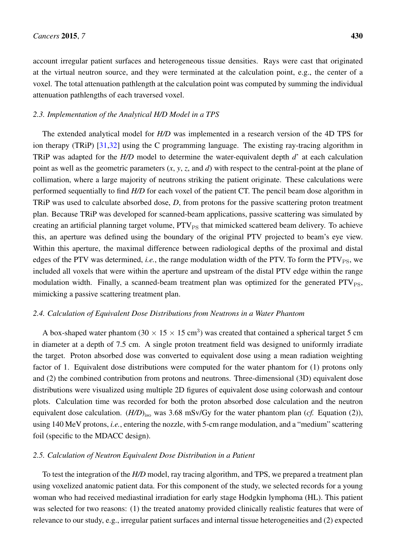account irregular patient surfaces and heterogeneous tissue densities. Rays were cast that originated at the virtual neutron source, and they were terminated at the calculation point, e.g., the center of a voxel. The total attenuation pathlength at the calculation point was computed by summing the individual attenuation pathlengths of each traversed voxel.

### *2.3. Implementation of the Analytical H/D Model in a TPS*

The extended analytical model for *H/D* was implemented in a research version of the 4D TPS for ion therapy (TRiP) [\[31](#page-13-5)[,32\]](#page-13-6) using the C programming language. The existing ray-tracing algorithm in TRiP was adapted for the *H/D* model to determine the water-equivalent depth *d*' at each calculation point as well as the geometric parameters (*x*, *y*, *z*, and *d*) with respect to the central-point at the plane of collimation, where a large majority of neutrons striking the patient originate. These calculations were performed sequentially to find *H/D* for each voxel of the patient CT. The pencil beam dose algorithm in TRiP was used to calculate absorbed dose, *D*, from protons for the passive scattering proton treatment plan. Because TRiP was developed for scanned-beam applications, passive scattering was simulated by creating an artificial planning target volume,  $PTV_{PS}$  that mimicked scattered beam delivery. To achieve this, an aperture was defined using the boundary of the original PTV projected to beam's eye view. Within this aperture, the maximal difference between radiological depths of the proximal and distal edges of the PTV was determined, *i.e.*, the range modulation width of the PTV. To form the PTV<sub>PS</sub>, we included all voxels that were within the aperture and upstream of the distal PTV edge within the range modulation width. Finally, a scanned-beam treatment plan was optimized for the generated  $PTV_{PS}$ , mimicking a passive scattering treatment plan.

#### *2.4. Calculation of Equivalent Dose Distributions from Neutrons in a Water Phantom*

A box-shaped water phantom (30  $\times$  15  $\times$  15 cm<sup>3</sup>) was created that contained a spherical target 5 cm in diameter at a depth of 7.5 cm. A single proton treatment field was designed to uniformly irradiate the target. Proton absorbed dose was converted to equivalent dose using a mean radiation weighting factor of 1. Equivalent dose distributions were computed for the water phantom for (1) protons only and (2) the combined contribution from protons and neutrons. Three-dimensional (3D) equivalent dose distributions were visualized using multiple 2D figures of equivalent dose using colorwash and contour plots. Calculation time was recorded for both the proton absorbed dose calculation and the neutron equivalent dose calculation.  $(H/D)_{iso}$  was 3.68 mSv/Gy for the water phantom plan (*cf.* Equation (2)), using 140 MeV protons, *i.e.*, entering the nozzle, with 5-cm range modulation, and a "medium" scattering foil (specific to the MDACC design).

#### *2.5. Calculation of Neutron Equivalent Dose Distribution in a Patient*

To test the integration of the *H/D* model, ray tracing algorithm, and TPS, we prepared a treatment plan using voxelized anatomic patient data. For this component of the study, we selected records for a young woman who had received mediastinal irradiation for early stage Hodgkin lymphoma (HL). This patient was selected for two reasons: (1) the treated anatomy provided clinically realistic features that were of relevance to our study, e.g., irregular patient surfaces and internal tissue heterogeneities and (2) expected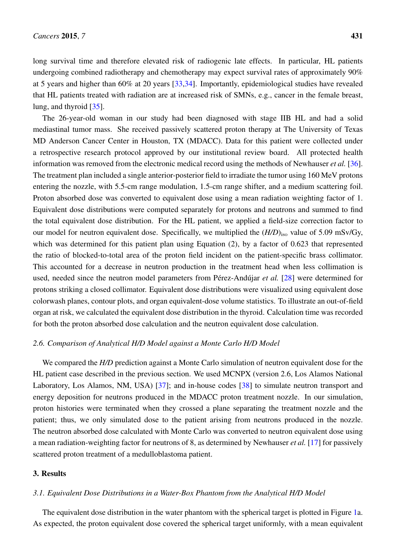long survival time and therefore elevated risk of radiogenic late effects. In particular, HL patients undergoing combined radiotherapy and chemotherapy may expect survival rates of approximately 90% at 5 years and higher than 60% at 20 years [\[33,](#page-13-7)[34\]](#page-13-8). Importantly, epidemiological studies have revealed that HL patients treated with radiation are at increased risk of SMNs, e.g., cancer in the female breast, lung, and thyroid [\[35\]](#page-13-9).

The 26-year-old woman in our study had been diagnosed with stage IIB HL and had a solid mediastinal tumor mass. She received passively scattered proton therapy at The University of Texas MD Anderson Cancer Center in Houston, TX (MDACC). Data for this patient were collected under a retrospective research protocol approved by our institutional review board. All protected health information was removed from the electronic medical record using the methods of Newhauser *et al.* [\[36\]](#page-13-10). The treatment plan included a single anterior-posterior field to irradiate the tumor using 160 MeV protons entering the nozzle, with 5.5-cm range modulation, 1.5-cm range shifter, and a medium scattering foil. Proton absorbed dose was converted to equivalent dose using a mean radiation weighting factor of 1. Equivalent dose distributions were computed separately for protons and neutrons and summed to find the total equivalent dose distribution. For the HL patient, we applied a field-size correction factor to our model for neutron equivalent dose. Specifically, we multiplied the  $(H/D)_{\text{iso}}$  value of 5.09 mSv/Gy, which was determined for this patient plan using Equation (2), by a factor of 0.623 that represented the ratio of blocked-to-total area of the proton field incident on the patient-specific brass collimator. This accounted for a decrease in neutron production in the treatment head when less collimation is used, needed since the neutron model parameters from Pérez-Andújar *et al.* [\[28\]](#page-13-2) were determined for protons striking a closed collimator. Equivalent dose distributions were visualized using equivalent dose colorwash planes, contour plots, and organ equivalent-dose volume statistics. To illustrate an out-of-field organ at risk, we calculated the equivalent dose distribution in the thyroid. Calculation time was recorded for both the proton absorbed dose calculation and the neutron equivalent dose calculation.

#### *2.6. Comparison of Analytical H/D Model against a Monte Carlo H/D Model*

We compared the *H/D* prediction against a Monte Carlo simulation of neutron equivalent dose for the HL patient case described in the previous section. We used MCNPX (version 2.6, Los Alamos National Laboratory, Los Alamos, NM, USA) [\[37\]](#page-13-11); and in-house codes [\[38\]](#page-13-12) to simulate neutron transport and energy deposition for neutrons produced in the MDACC proton treatment nozzle. In our simulation, proton histories were terminated when they crossed a plane separating the treatment nozzle and the patient; thus, we only simulated dose to the patient arising from neutrons produced in the nozzle. The neutron absorbed dose calculated with Monte Carlo was converted to neutron equivalent dose using a mean radiation-weighting factor for neutrons of 8, as determined by Newhauser *et al.* [\[17\]](#page-12-6) for passively scattered proton treatment of a medulloblastoma patient.

#### 3. Results

#### *3.1. Equivalent Dose Distributions in a Water-Box Phantom from the Analytical H/D Model*

The equivalent dose distribution in the water phantom with the spherical target is plotted in Figure [1a](#page-7-0). As expected, the proton equivalent dose covered the spherical target uniformly, with a mean equivalent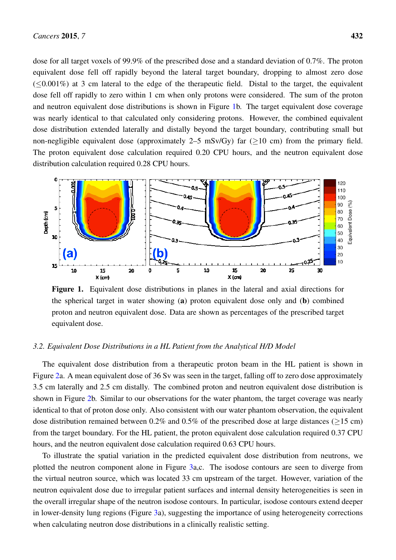dose for all target voxels of 99.9% of the prescribed dose and a standard deviation of 0.7%. The proton equivalent dose fell off rapidly beyond the lateral target boundary, dropping to almost zero dose equivalent dose fell off rapidly beyond the lateral target boundary, dropping to almost zero dose  $(\leq 0.001\%)$  at 3 cm lateral to the edge of the therapeutic field. Distal to the target, the equivalent dose fell off rapidly to zero within 1 cm when only protons were considered. The sum of the proton and neutron equivalent dose distributions is shown in Figure 1b. The [ta](#page-7-0)rget equivalent dose coverage was nearly identical to that calculated only considering protons. However, the combined equivalent dose distribution extended laterally and distally beyond the target boundary, contributing small but non-negligible equivalent dose (approximately 2–5 mSv/Gy) far ( $\geq$ 10 cm) from the primary field. The proton equivalent dose calculation required 0.20 CPU hours, and the neutron equivalent dose distribution calculation required 0.28 CPU hours. 0.28 CPU hours.

<span id="page-7-0"></span>

the spherical target in water showing (a) proton equivalent dose only and (b) combined proton and neutron equivalent dose. Data are shown as percentages of the prescribed target  $\frac{1}{2}$  and neutron equivalent dose. equivalent dose. Figure 1. Equivalent dose distributions in planes in the lateral and axial directions for equivalent dose.

# *3.2. Equivalent Dose Distributions in a HL Patient from the Analytical H/D Model 3.2. Equivalent Dose Distributions in a HL Patient from the Analytical H/D Model*

The equivalent dose distribution from a therapeutic proton beam in the HL patient is shown in Figure [2a](#page-8-0). A mean equivalent dose of 36 Sv was seen in the target, falling off to zero dose approximately laterally and 2.5 cm distally. The combined proton and neutron equivalent dose distribution is shown in shown in Figure [2b](#page-8-0). Similar to our observations for the water phantom, the target coverage was nearly identical to that of proton dose only. Also consistent with our water phantom observation, the equivalent dose distribution remained between 0.2% and 0.5% of the prescribed dose at large distances ( $\geq$ 15 cm) from the target boundary. For the HL patient, the proton equivalent dose calculation required 0.37 CPU and the neutron equivalent dose calculation required 0.63 CPU hours. hours, and the neutron equivalent dose calculation required 0.63 CPU hours. The equivalent dose distribution from a therapeutic proton beam in the HL patient is shown in 3.5 cm laterally and 2.5 cm distally. The combined proton and neutron equivalent dose distribution is

To illustrate the spatial variation in the predicted equivalent dose distribution from neutrons, we To illustrate the spatial variation in the predicted equivalent dose distribution from neutrons, we plotted the neutron component alone in Figure [3a](#page-9-0),c. The isodose contours are seen to diverge from the virtual neutron source, which was located 33 cm upstream of the target. However, variation of the neutron equivalent dose due to irregular patient surfaces and internal density heterogeneities is seen in neutron equivalent dose due to irregular patient surfaces and internal density heterogeneities is seen in the overall irregular shape of the neutron isodose contours. In particular, isodose contours extend deeper the overall irregular shape of the neutron isodose contours. In particular, isodose contours extend deeper in lower-density lung regions (Figure 3a), suggesting the importance of using heterogeneity corrections in lower-density lung regions (Figure [3a](#page-9-0)), suggesting the importance of using heterogeneity corrections when calculating neutron dose distributions in a clinically realistic setting. when calculating neutron dose distributions in a clinically realistic setting.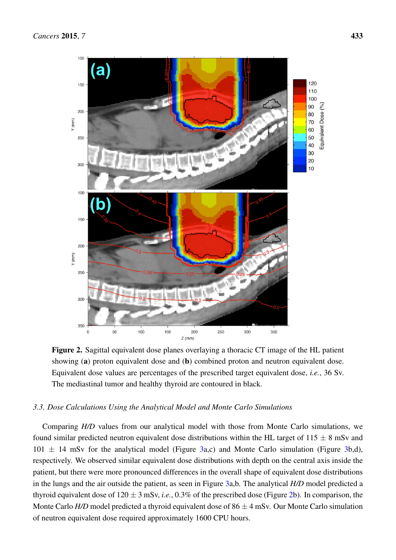<span id="page-8-0"></span>

**Figure 2.** Sagittal equivalent dose planes overlaying a thoracic CT image of the HL patient showing (**a**) proton equivalent dose and (**b**) combined proton and neutron equivalent dose. showing (a) proton equivalent dose and (b) combined proton and neutron equivalent dose. Equivalent dose values are percentages of the prescribed target equivalent dose, *i.e.*, 36 Sv. The mediastinal tumor and healthy thyroid are contoured in black. The mediastinal tumor and healthy thyroid are contoured in black. Figure 2. Sagittal equivalent dose planes overlaying a thoracic CT image of the HL patient

## *3.3. Dose Calculations Using the Analytical Model and Monte Carlo Simulations 3.3. Dose Calculations Using the Analytical Model and Monte Carlo Simulations*

Comparing *H/D* values from our analytical model with those from Monte Carlo simulations, we found Comparing *H/D* values from our analytical model with those from Monte Carlo simulations, we found similar predicted neutron equivalent dose distributions within the HL target of  $115 \pm 8$  mSv and  $101 \pm 14$  mSv for the analytical model (Figure [3a](#page-9-0),c) and Monte Carlo simulation (Figure [3b](#page-9-0),d), respectively. We observed similar equivalent dose distributions with depth on the central axis inside the patient, but there were more pronounced differences in the overall shape of equivalent dose distributions in the lungs and the air outside the patient, as seen in Figure [3a](#page-9-0),b. The analytical *H/D* model predicted a thyroid equivalent dose of  $120 \pm 3$  mSv, *i.e.*, 0.3% of the prescribed dose (Figure [2b](#page-8-0)). In comparison, the Monte Carlo  $H/D$  model predicted a thyroid equivalent dose of  $86 \pm 4$  mSv. Our Monte Carlo simulation of neutron equivalent dose required approximately 1600 CPU hours.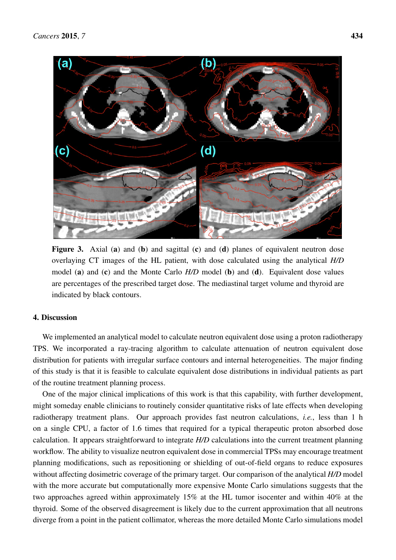<span id="page-9-0"></span>

Figure 3. Axial (a) and (b) and sagittal  $(c)$  and  $(d)$  planes of equivalent neutron dose overlaying CT images of the HL patient, with dose calculated using the analytical *H/D* model (a) and (c) and the Monte Carlo *H/D* model (b) and (d). Equivalent dose values are percentages of the prescribed target dose. The mediastinal target volume and thyroid are indicated by black contours.

#### $\mathbf{u}$  implemented and an analytical model to calculate neutron equivalent dose using a proton radiotherapy  $\mathbf{v}$ 4. Discussion

We implemented an analytical model to calculate neutron equivalent dose using a proton radiotherapy TPS. We incorporated a ray-tracing algorithm to calculate attenuation of neutron equivalent dose distribution for patients with irregular surface contours and internal heterogeneities. The major finding of this study is that it is feasible to calculate equivalent dose distributions in individual patients as part of the routine treatment planning process. radiotherapy treatment plans. Our approach provides fast neutron calculations, *i.e.*, less than 1 h on a

One of the major clinical implications of this work is that this capability, with further development, might someday enable clinicians to routinely consider quantitative risks of late effects when developing radiotherapy treatment plans. Our approach provides fast neutron calculations, *i.e.*, less than 1 h on a single CPU, a factor of 1.6 times that required for a typical therapeutic proton absorbed dose calculation. It appears straightforward to integrate *H/D* calculations into the current treatment planning workflow. The ability to visualize neutron equivalent dose in commercial TPSs may encourage treatment planning modifications, such as repositioning or shielding of out-of-field organs to reduce exposures without affecting dosimetric coverage of the primary target. Our comparison of the analytical *H/D* model with the more accurate but computationally more expensive Monte Carlo simulations suggests that the two approaches agreed within approximately 15% at the HL tumor isocenter and within 40% at the thyroid. Some of the observed disagreement is likely due to the current approximation that all neutrons diverge from a point in the patient collimator, whereas the more detailed Monte Carlo simulations model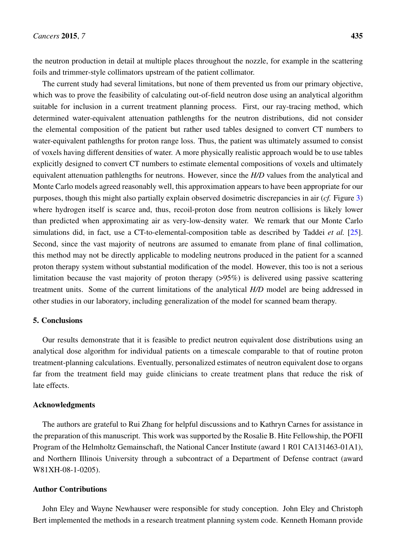the neutron production in detail at multiple places throughout the nozzle, for example in the scattering foils and trimmer-style collimators upstream of the patient collimator.

The current study had several limitations, but none of them prevented us from our primary objective, which was to prove the feasibility of calculating out-of-field neutron dose using an analytical algorithm suitable for inclusion in a current treatment planning process. First, our ray-tracing method, which determined water-equivalent attenuation pathlengths for the neutron distributions, did not consider the elemental composition of the patient but rather used tables designed to convert CT numbers to water-equivalent pathlengths for proton range loss. Thus, the patient was ultimately assumed to consist of voxels having different densities of water. A more physically realistic approach would be to use tables explicitly designed to convert CT numbers to estimate elemental compositions of voxels and ultimately equivalent attenuation pathlengths for neutrons. However, since the *H/D* values from the analytical and Monte Carlo models agreed reasonably well, this approximation appears to have been appropriate for our purposes, though this might also partially explain observed dosimetric discrepancies in air (*cf.* Figure [3\)](#page-9-0) where hydrogen itself is scarce and, thus, recoil-proton dose from neutron collisions is likely lower than predicted when approximating air as very-low-density water. We remark that our Monte Carlo simulations did, in fact, use a CT-to-elemental-composition table as described by Taddei *et al.* [\[25\]](#page-12-8). Second, since the vast majority of neutrons are assumed to emanate from plane of final collimation, this method may not be directly applicable to modeling neutrons produced in the patient for a scanned proton therapy system without substantial modification of the model. However, this too is not a serious limitation because the vast majority of proton therapy (>95%) is delivered using passive scattering treatment units. Some of the current limitations of the analytical *H/D* model are being addressed in other studies in our laboratory, including generalization of the model for scanned beam therapy.

#### 5. Conclusions

Our results demonstrate that it is feasible to predict neutron equivalent dose distributions using an analytical dose algorithm for individual patients on a timescale comparable to that of routine proton treatment-planning calculations. Eventually, personalized estimates of neutron equivalent dose to organs far from the treatment field may guide clinicians to create treatment plans that reduce the risk of late effects.

#### Acknowledgments

The authors are grateful to Rui Zhang for helpful discussions and to Kathryn Carnes for assistance in the preparation of this manuscript. This work was supported by the Rosalie B. Hite Fellowship, the POFII Program of the Helmholtz Gemainschaft, the National Cancer Institute (award 1 R01 CA131463-01A1), and Northern Illinois University through a subcontract of a Department of Defense contract (award W81XH-08-1-0205).

### Author Contributions

John Eley and Wayne Newhauser were responsible for study conception. John Eley and Christoph Bert implemented the methods in a research treatment planning system code. Kenneth Homann provide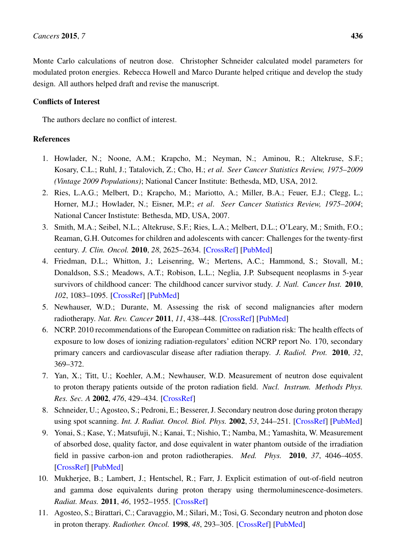Monte Carlo calculations of neutron dose. Christopher Schneider calculated model parameters for modulated proton energies. Rebecca Howell and Marco Durante helped critique and develop the study design. All authors helped draft and revise the manuscript.

### Conflicts of Interest

The authors declare no conflict of interest.

### References

- <span id="page-11-0"></span>1. Howlader, N.; Noone, A.M.; Krapcho, M.; Neyman, N.; Aminou, R.; Altekruse, S.F.; Kosary, C.L.; Ruhl, J.; Tatalovich, Z.; Cho, H.; *et al*. *Seer Cancer Statistics Review, 1975–2009 (Vintage 2009 Populations)*; National Cancer Institute: Bethesda, MD, USA, 2012.
- <span id="page-11-1"></span>2. Ries, L.A.G.; Melbert, D.; Krapcho, M.; Mariotto, A.; Miller, B.A.; Feuer, E.J.; Clegg, L.; Horner, M.J.; Howlader, N.; Eisner, M.P.; *et al*. *Seer Cancer Statistics Review, 1975–2004*; National Cancer Instistute: Bethesda, MD, USA, 2007.
- <span id="page-11-2"></span>3. Smith, M.A.; Seibel, N.L.; Altekruse, S.F.; Ries, L.A.; Melbert, D.L.; O'Leary, M.; Smith, F.O.; Reaman, G.H. Outcomes for children and adolescents with cancer: Challenges for the twenty-first century. *J. Clin. Oncol.* 2010, *28*, 2625–2634. [\[CrossRef\]](http://dx.doi.org/10.1200/JCO.2009.27.0421) [\[PubMed\]](http://www.ncbi.nlm.nih.gov/pubmed/20404250)
- <span id="page-11-3"></span>4. Friedman, D.L.; Whitton, J.; Leisenring, W.; Mertens, A.C.; Hammond, S.; Stovall, M.; Donaldson, S.S.; Meadows, A.T.; Robison, L.L.; Neglia, J.P. Subsequent neoplasms in 5-year survivors of childhood cancer: The childhood cancer survivor study. *J. Natl. Cancer Inst.* 2010, *102*, 1083–1095. [\[CrossRef\]](http://dx.doi.org/10.1093/jnci/djq238) [\[PubMed\]](http://www.ncbi.nlm.nih.gov/pubmed/20634481)
- <span id="page-11-4"></span>5. Newhauser, W.D.; Durante, M. Assessing the risk of second malignancies after modern radiotherapy. *Nat. Rev. Cancer* 2011, *11*, 438–448. [\[CrossRef\]](http://dx.doi.org/10.1038/nrc3069) [\[PubMed\]](http://www.ncbi.nlm.nih.gov/pubmed/21593785)
- <span id="page-11-5"></span>6. NCRP. 2010 recommendations of the European Committee on radiation risk: The health effects of exposure to low doses of ionizing radiation-regulators' edition NCRP report No. 170, secondary primary cancers and cardiovascular disease after radiation therapy. *J. Radiol. Prot.* 2010, *32*, 369–372.
- <span id="page-11-6"></span>7. Yan, X.; Titt, U.; Koehler, A.M.; Newhauser, W.D. Measurement of neutron dose equivalent to proton therapy patients outside of the proton radiation field. *Nucl. Instrum. Methods Phys. Res. Sec. A* 2002, *476*, 429–434. [\[CrossRef\]](http://dx.doi.org/10.1016/S0168-9002(01)01483-8)
- 8. Schneider, U.; Agosteo, S.; Pedroni, E.; Besserer, J. Secondary neutron dose during proton therapy using spot scanning. *Int. J. Radiat. Oncol. Biol. Phys.* 2002, *53*, 244–251. [\[CrossRef\]](http://dx.doi.org/10.1016/S0360-3016(01)02826-7) [\[PubMed\]](http://www.ncbi.nlm.nih.gov/pubmed/12007965)
- <span id="page-11-9"></span>9. Yonai, S.; Kase, Y.; Matsufuji, N.; Kanai, T.; Nishio, T.; Namba, M.; Yamashita, W. Measurement of absorbed dose, quality factor, and dose equivalent in water phantom outside of the irradiation field in passive carbon-ion and proton radiotherapies. *Med. Phys.* 2010, *37*, 4046–4055. [\[CrossRef\]](http://dx.doi.org/10.1118/1.3458721) [\[PubMed\]](http://www.ncbi.nlm.nih.gov/pubmed/20879566)
- <span id="page-11-7"></span>10. Mukherjee, B.; Lambert, J.; Hentschel, R.; Farr, J. Explicit estimation of out-of-field neutron and gamma dose equivalents during proton therapy using thermoluminescence-dosimeters. *Radiat. Meas.* 2011, *46*, 1952–1955. [\[CrossRef\]](http://dx.doi.org/10.1016/j.radmeas.2011.07.026)
- <span id="page-11-8"></span>11. Agosteo, S.; Birattari, C.; Caravaggio, M.; Silari, M.; Tosi, G. Secondary neutron and photon dose in proton therapy. *Radiother. Oncol.* 1998, *48*, 293–305. [\[CrossRef\]](http://dx.doi.org/10.1016/S0167-8140(98)00049-8) [\[PubMed\]](http://www.ncbi.nlm.nih.gov/pubmed/9925249)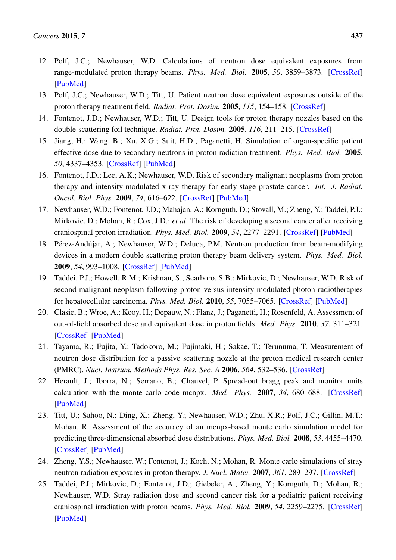- <span id="page-12-1"></span>12. Polf, J.C.; Newhauser, W.D. Calculations of neutron dose equivalent exposures from range-modulated proton therapy beams. *Phys. Med. Biol.* 2005, *50*, 3859–3873. [\[CrossRef\]](http://dx.doi.org/10.1088/0031-9155/50/16/014) [\[PubMed\]](http://www.ncbi.nlm.nih.gov/pubmed/16077232)
- 13. Polf, J.C.; Newhauser, W.D.; Titt, U. Patient neutron dose equivalent exposures outside of the proton therapy treatment field. *Radiat. Prot. Dosim.* 2005, *115*, 154–158. [\[CrossRef\]](http://dx.doi.org/10.1093/rpd/nci264)
- <span id="page-12-2"></span>14. Fontenot, J.D.; Newhauser, W.D.; Titt, U. Design tools for proton therapy nozzles based on the double-scattering foil technique. *Radiat. Prot. Dosim.* 2005, *116*, 211–215. [\[CrossRef\]](http://dx.doi.org/10.1093/rpd/nci229)
- 15. Jiang, H.; Wang, B.; Xu, X.G.; Suit, H.D.; Paganetti, H. Simulation of organ-specific patient effective dose due to secondary neutrons in proton radiation treatment. *Phys. Med. Biol.* 2005, *50*, 4337–4353. [\[CrossRef\]](http://dx.doi.org/10.1088/0031-9155/50/18/007) [\[PubMed\]](http://www.ncbi.nlm.nih.gov/pubmed/16148397)
- <span id="page-12-5"></span>16. Fontenot, J.D.; Lee, A.K.; Newhauser, W.D. Risk of secondary malignant neoplasms from proton therapy and intensity-modulated x-ray therapy for early-stage prostate cancer. *Int. J. Radiat. Oncol. Biol. Phys.* 2009, *74*, 616–622. [\[CrossRef\]](http://dx.doi.org/10.1016/j.ijrobp.2009.01.001) [\[PubMed\]](http://www.ncbi.nlm.nih.gov/pubmed/19427561)
- <span id="page-12-6"></span>17. Newhauser, W.D.; Fontenot, J.D.; Mahajan, A.; Kornguth, D.; Stovall, M.; Zheng, Y.; Taddei, P.J.; Mirkovic, D.; Mohan, R.; Cox, J.D.; *et al*. The risk of developing a second cancer after receiving craniospinal proton irradiation. *Phys. Med. Biol.* 2009, *54*, 2277–2291. [\[CrossRef\]](http://dx.doi.org/10.1088/0031-9155/54/8/002) [\[PubMed\]](http://www.ncbi.nlm.nih.gov/pubmed/19305036)
- 18. Pérez-Andújar, A.; Newhauser, W.D.; Deluca, P.M. Neutron production from beam-modifying devices in a modern double scattering proton therapy beam delivery system. *Phys. Med. Biol.* 2009, *54*, 993–1008. [\[CrossRef\]](http://dx.doi.org/10.1088/0031-9155/54/4/012) [\[PubMed\]](http://www.ncbi.nlm.nih.gov/pubmed/19147903)
- 19. Taddei, P.J.; Howell, R.M.; Krishnan, S.; Scarboro, S.B.; Mirkovic, D.; Newhauser, W.D. Risk of second malignant neoplasm following proton versus intensity-modulated photon radiotherapies for hepatocellular carcinoma. *Phys. Med. Biol.* 2010, *55*, 7055–7065. [\[CrossRef\]](http://dx.doi.org/10.1088/0031-9155/55/23/S07) [\[PubMed\]](http://www.ncbi.nlm.nih.gov/pubmed/21076199)
- <span id="page-12-0"></span>20. Clasie, B.; Wroe, A.; Kooy, H.; Depauw, N.; Flanz, J.; Paganetti, H.; Rosenfeld, A. Assessment of out-of-field absorbed dose and equivalent dose in proton fields. *Med. Phys.* 2010, *37*, 311–321. [\[CrossRef\]](http://dx.doi.org/10.1118/1.3271390) [\[PubMed\]](http://www.ncbi.nlm.nih.gov/pubmed/20175494)
- <span id="page-12-3"></span>21. Tayama, R.; Fujita, Y.; Tadokoro, M.; Fujimaki, H.; Sakae, T.; Terunuma, T. Measurement of neutron dose distribution for a passive scattering nozzle at the proton medical research center (PMRC). *Nucl. Instrum. Methods Phys. Res. Sec. A* 2006, *564*, 532–536. [\[CrossRef\]](http://dx.doi.org/10.1016/j.nima.2006.04.028)
- 22. Herault, J.; Iborra, N.; Serrano, B.; Chauvel, P. Spread-out bragg peak and monitor units calculation with the monte carlo code mcnpx. *Med. Phys.* 2007, *34*, 680–688. [\[CrossRef\]](http://dx.doi.org/10.1118/1.2431473) [\[PubMed\]](http://www.ncbi.nlm.nih.gov/pubmed/17388186)
- <span id="page-12-4"></span>23. Titt, U.; Sahoo, N.; Ding, X.; Zheng, Y.; Newhauser, W.D.; Zhu, X.R.; Polf, J.C.; Gillin, M.T.; Mohan, R. Assessment of the accuracy of an mcnpx-based monte carlo simulation model for predicting three-dimensional absorbed dose distributions. *Phys. Med. Biol.* 2008, *53*, 4455–4470. [\[CrossRef\]](http://dx.doi.org/10.1088/0031-9155/53/16/016) [\[PubMed\]](http://www.ncbi.nlm.nih.gov/pubmed/18670050)
- <span id="page-12-7"></span>24. Zheng, Y.S.; Newhauser, W.; Fontenot, J.; Koch, N.; Mohan, R. Monte carlo simulations of stray neutron radiation exposures in proton therapy. *J. Nucl. Mater.* 2007, *361*, 289–297. [\[CrossRef\]](http://dx.doi.org/10.1016/j.jnucmat.2006.12.016)
- <span id="page-12-8"></span>25. Taddei, P.J.; Mirkovic, D.; Fontenot, J.D.; Giebeler, A.; Zheng, Y.; Kornguth, D.; Mohan, R.; Newhauser, W.D. Stray radiation dose and second cancer risk for a pediatric patient receiving craniospinal irradiation with proton beams. *Phys. Med. Biol.* 2009, *54*, 2259–2275. [\[CrossRef\]](http://dx.doi.org/10.1088/0031-9155/54/8/001) [\[PubMed\]](http://www.ncbi.nlm.nih.gov/pubmed/19305045)